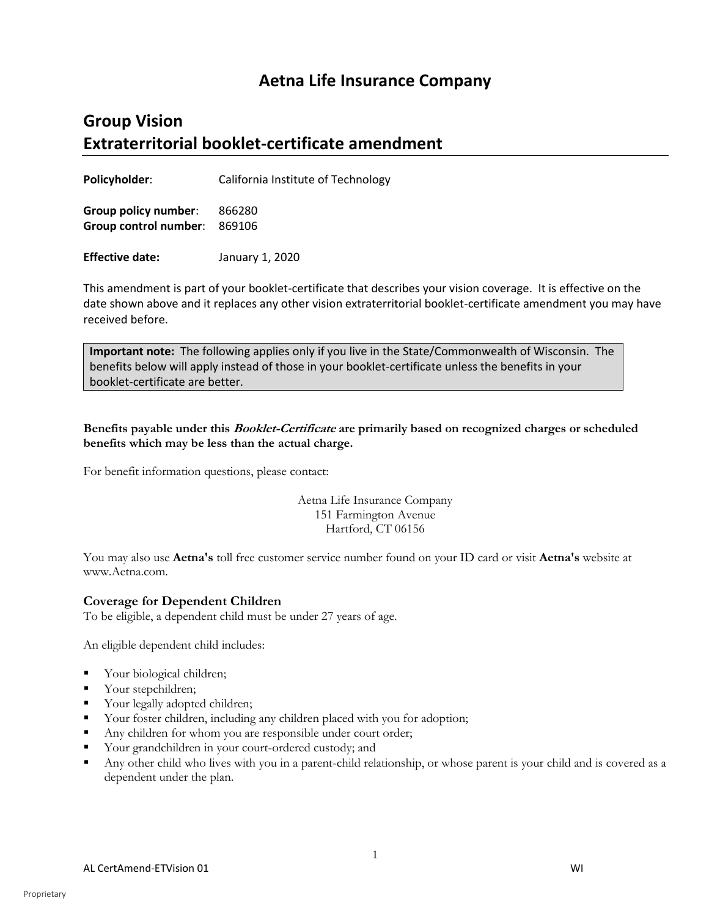## **Aetna Life Insurance Company**

# **Group Vision Extraterritorial booklet-certificate amendment**

**Policyholder**: California Institute of Technology

**Group policy number**: 866280 **Group control number**: 869106

**Effective date:** January 1, 2020

This amendment is part of your booklet-certificate that describes your vision coverage. It is effective on the date shown above and it replaces any other vision extraterritorial booklet-certificate amendment you may have received before.

**Important note:** The following applies only if you live in the State/Commonwealth of Wisconsin. The benefits below will apply instead of those in your booklet-certificate unless the benefits in your booklet-certificate are better.

**Benefits payable under this Booklet-Certificate are primarily based on recognized charges or scheduled benefits which may be less than the actual charge.**

For benefit information questions, please contact:

Aetna Life Insurance Company 151 Farmington Avenue Hartford, CT 06156

You may also use **Aetna's** toll free customer service number found on your ID card or visit **Aetna's** website at www.Aetna.com.

## **Coverage for Dependent Children**

To be eligible, a dependent child must be under 27 years of age.

An eligible dependent child includes:

- Your biological children;
- Your stepchildren;
- Your legally adopted children;
- Your foster children, including any children placed with you for adoption;
- Any children for whom you are responsible under court order;
- Your grandchildren in your court-ordered custody; and
- Any other child who lives with you in a parent-child relationship, or whose parent is your child and is covered as a dependent under the plan.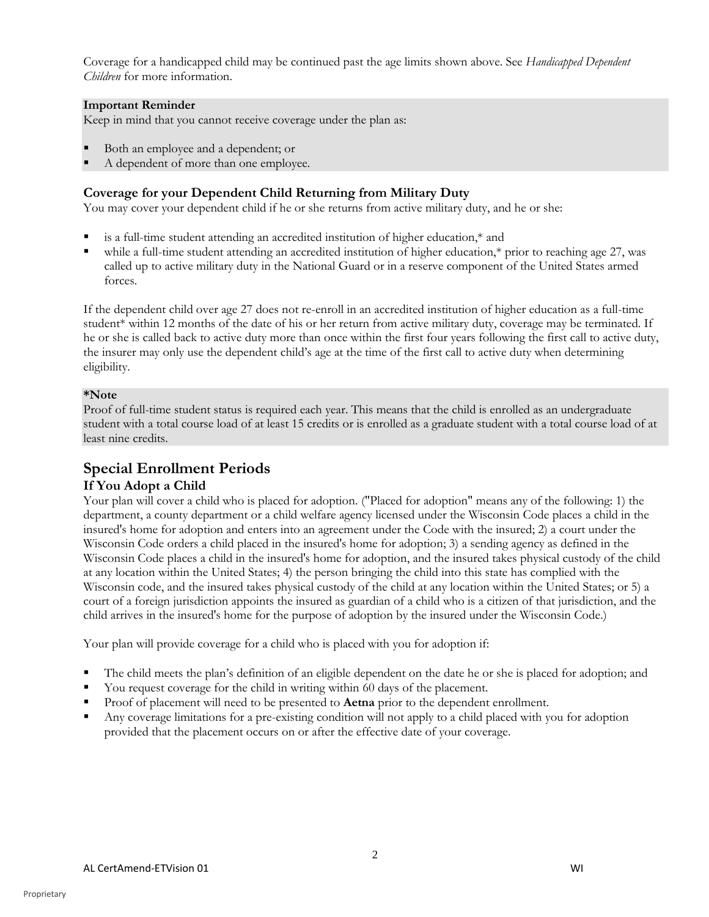Coverage for a handicapped child may be continued past the age limits shown above. See *Handicapped Dependent Children* for more information.

#### **Important Reminder**

Keep in mind that you cannot receive coverage under the plan as:

- Both an employee and a dependent; or
- A dependent of more than one employee.

## **Coverage for your Dependent Child Returning from Military Duty**

You may cover your dependent child if he or she returns from active military duty, and he or she:

- is a full-time student attending an accredited institution of higher education,\* and
- while a full-time student attending an accredited institution of higher education,\* prior to reaching age 27, was called up to active military duty in the National Guard or in a reserve component of the United States armed forces.

If the dependent child over age 27 does not re-enroll in an accredited institution of higher education as a full-time student\* within 12 months of the date of his or her return from active military duty, coverage may be terminated. If he or she is called back to active duty more than once within the first four years following the first call to active duty, the insurer may only use the dependent child's age at the time of the first call to active duty when determining eligibility.

#### **\*Note**

Proof of full-time student status is required each year. This means that the child is enrolled as an undergraduate student with a total course load of at least 15 credits or is enrolled as a graduate student with a total course load of at least nine credits.

## **Special Enrollment Periods**

## **If You Adopt a Child**

Your plan will cover a child who is placed for adoption. ("Placed for adoption" means any of the following: 1) the department, a county department or a child welfare agency licensed under the Wisconsin Code places a child in the insured's home for adoption and enters into an agreement under the Code with the insured; 2) a court under the Wisconsin Code orders a child placed in the insured's home for adoption; 3) a sending agency as defined in the Wisconsin Code places a child in the insured's home for adoption, and the insured takes physical custody of the child at any location within the United States; 4) the person bringing the child into this state has complied with the Wisconsin code, and the insured takes physical custody of the child at any location within the United States; or 5) a court of a foreign jurisdiction appoints the insured as guardian of a child who is a citizen of that jurisdiction, and the child arrives in the insured's home for the purpose of adoption by the insured under the Wisconsin Code.)

Your plan will provide coverage for a child who is placed with you for adoption if:

- The child meets the plan's definition of an eligible dependent on the date he or she is placed for adoption; and
- You request coverage for the child in writing within 60 days of the placement.
- Proof of placement will need to be presented to **Aetna** prior to the dependent enrollment.
- Any coverage limitations for a pre-existing condition will not apply to a child placed with you for adoption provided that the placement occurs on or after the effective date of your coverage.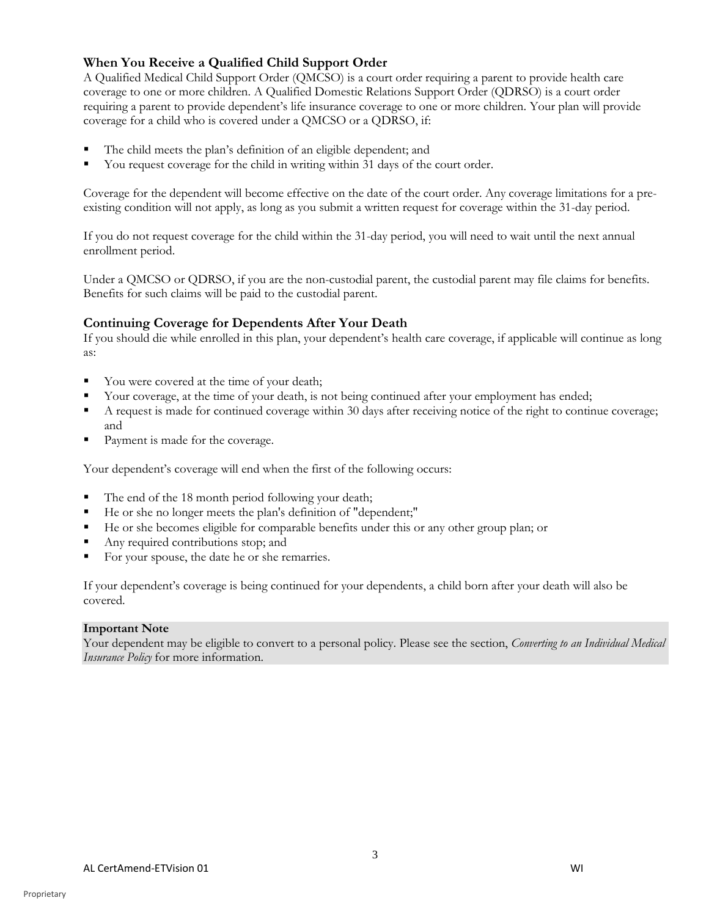## **When You Receive a Qualified Child Support Order**

A Qualified Medical Child Support Order (QMCSO) is a court order requiring a parent to provide health care coverage to one or more children. A Qualified Domestic Relations Support Order (QDRSO) is a court order requiring a parent to provide dependent's life insurance coverage to one or more children. Your plan will provide coverage for a child who is covered under a QMCSO or a QDRSO, if:

- The child meets the plan's definition of an eligible dependent; and
- You request coverage for the child in writing within 31 days of the court order.

Coverage for the dependent will become effective on the date of the court order. Any coverage limitations for a preexisting condition will not apply, as long as you submit a written request for coverage within the 31-day period.

If you do not request coverage for the child within the 31-day period, you will need to wait until the next annual enrollment period.

Under a QMCSO or QDRSO, if you are the non-custodial parent, the custodial parent may file claims for benefits. Benefits for such claims will be paid to the custodial parent.

## **Continuing Coverage for Dependents After Your Death**

If you should die while enrolled in this plan, your dependent's health care coverage, if applicable will continue as long as:

- You were covered at the time of your death;
- Your coverage, at the time of your death, is not being continued after your employment has ended;
- A request is made for continued coverage within 30 days after receiving notice of the right to continue coverage; and
- Payment is made for the coverage.

Your dependent's coverage will end when the first of the following occurs:

- The end of the 18 month period following your death;
- He or she no longer meets the plan's definition of "dependent;"
- He or she becomes eligible for comparable benefits under this or any other group plan; or
- Any required contributions stop; and
- For your spouse, the date he or she remarries.

If your dependent's coverage is being continued for your dependents, a child born after your death will also be covered.

## **Important Note**

Your dependent may be eligible to convert to a personal policy. Please see the section, *Converting to an Individual Medical Insurance Policy* for more information.